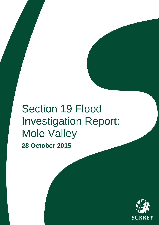# Section 19 Flood Investigation Report: Mole Valley **28 October 2015**

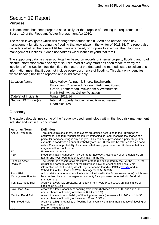## <span id="page-1-0"></span>Section 19 Report **Purpose**

This document has been prepared specifically for the purpose of meeting the requirements of Section 19 of the Flood and Water Management Act 2010.

The report investigates which risk management authorities (RMAs) had relevant flood risk management functions during the flooding that took place in the winter of 2013/14. The report also considers whether the relevant RMAs have exercised, or propose to exercise, their flood risk management functions. It does not address wider issues beyond that remit.

The supporting data has been put together based on records of internal property flooding and road closure information from a variety of sources. Whilst every effort has been made to verify the locations of the Section 19s identified, the nature of the data and the methods used to collate this information mean that it does not include every occurrence of flooding. This data only identifies where flooding has been reported and is indicative only.

| <b>Location Name</b>  | Mole Valley; Abinger & Shere, Betchworth,<br>Brockham, Charlwood, Dorking, Fetcham, Forest<br>Green, Leatherhead, Mickleham & Westhumble,<br>North Holmwood, Ockley, Westcott |
|-----------------------|-------------------------------------------------------------------------------------------------------------------------------------------------------------------------------|
| Date(s) of Incidents  | Winter 2013/14                                                                                                                                                                |
| Section 19 Trigger(s) | Internal property flooding at multiple addresses<br>Road closures                                                                                                             |

#### <span id="page-1-1"></span>**Glossary**

The table below defines some of the frequently used terminology within the flood risk management industry and within this document.

| <b>Acronym/Term</b>        | <b>Definition</b>                                                                                                                                                                                                                                                                                                                                                                                                                                                                                |
|----------------------------|--------------------------------------------------------------------------------------------------------------------------------------------------------------------------------------------------------------------------------------------------------------------------------------------------------------------------------------------------------------------------------------------------------------------------------------------------------------------------------------------------|
| Annual Probability         | Throughout this document, flood events are defined according to their likelihood of<br>occurrence. The term 'annual probability of flooding' is used, meaning the chance of a<br>particular flood occurring in any one year. This can be expressed as a percentage. For<br>example, a flood with an annual probability of 1 in 100 can also be referred to as a flood<br>with a 1% annual probability. This means that every year there is a 1% chance that this<br>magnitude flood could occur. |
| EA                         | <b>Environment Agency</b>                                                                                                                                                                                                                                                                                                                                                                                                                                                                        |
| <b>FEH</b>                 | Flood Estimation Handbook - by Centre for Ecology & Hydrology offering guidance on<br>rainfall and river flood frequency estimation in the UK.                                                                                                                                                                                                                                                                                                                                                   |
| <b>Flooding Asset</b>      | The register is a record of all structures or features designated by the EA, the LLFA, the                                                                                                                                                                                                                                                                                                                                                                                                       |
| Register                   | district and borough councils or the IDB which have an effect on flood risk. More                                                                                                                                                                                                                                                                                                                                                                                                                |
|                            | information on the Flooding Asset Register can be found on SCC's website and in<br>Schedule 2 of the Flood and Water Management Act (2010).                                                                                                                                                                                                                                                                                                                                                      |
| <b>Flood Risk</b>          | A flood risk management function is a function listed in the Act (or related Acts) which may                                                                                                                                                                                                                                                                                                                                                                                                     |
| <b>Management Function</b> | be exercised by a risk management authority for a purpose connected with flood risk<br>management.                                                                                                                                                                                                                                                                                                                                                                                               |
| Very Low Flood Risk        | Area with a very low probability of flooding from rivers $(< 1$ in 1,000 annual chance of<br>flooding or $<$ 0.1%).                                                                                                                                                                                                                                                                                                                                                                              |
| Low Flood Risk             | Area with a low probability of flooding from rivers (between a 1 in 1000 and 1 in 100<br>annual chance of flooding or between 0.1% and 1%).                                                                                                                                                                                                                                                                                                                                                      |
| Medium Flood Risk          | Area with a medium probability of flooding from rivers (between a 1 in 100 and 1 in 30                                                                                                                                                                                                                                                                                                                                                                                                           |
|                            | annual chance of flooding or between 1% and 3.33%).                                                                                                                                                                                                                                                                                                                                                                                                                                              |
| High Flood Risk            | Area with a high probability of flooding from rivers $(> 1)$ in 30 annual chance of flooding or<br>greater than 3.3%).                                                                                                                                                                                                                                                                                                                                                                           |
| <b>IDB</b>                 | Internal Drainage Board                                                                                                                                                                                                                                                                                                                                                                                                                                                                          |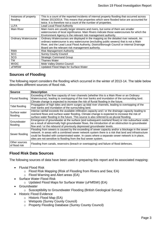| Instances of property       | This is a count of the reported incidents of internal property flooding that occurred across |
|-----------------------------|----------------------------------------------------------------------------------------------|
| flooding                    | Winter 2013/2014. This means that properties which were flooded twice are accounted for      |
|                             | twice. It is therefore not a count of the number of properties.                              |
| <b>LLFA</b>                 | <b>Lead Local Flood Authority</b>                                                            |
| <b>Main River</b>           | Main rivers are usually larger streams and rivers, but some of them are smaller              |
|                             | watercourses of local significance. Main Rivers indicate those watercourses for which the    |
|                             | Environment Agency is the relevant risk management authority.                                |
| <b>Ordinary Watercourse</b> | Ordinary Watercourses are displayed in the mapping as the detailed river network. An         |
|                             | ordinary watercourse is any watercourse (excluding public sewers) that is not a Main         |
|                             | River, and the Lead Local Flood Authority, District/Borough Council or Internal Drainage     |
|                             | Board are the relevant risk management authority.                                            |
| <b>RMA</b>                  | <b>Risk Management Authority</b>                                                             |
| <b>SCC</b>                  | <b>Surrey County Council</b>                                                                 |
| <b>SCG</b>                  | <b>Strategic Command Group</b>                                                               |
| <b>TW</b>                   | <b>Thames Water</b>                                                                          |
| <b>MVDC</b>                 | Mole Valley District Council                                                                 |
| uFMfSW                      | <b>Updated Flood Maps for Surface Water</b>                                                  |

## <span id="page-2-0"></span>**Sources of Flooding**

The following report considers the flooding which occurred in the winter of 2013-14. The table below describes different sources of flood risk.

| <b>Source</b>                  | <b>Description</b>                                                                                     |
|--------------------------------|--------------------------------------------------------------------------------------------------------|
|                                | Exceeding of the flow capacity of river channels (whether this is a Main River or an Ordinary          |
| Fluvial flooding               | Watercourse), leading to overtopping of the river banks and inundation of the surrounding land.        |
|                                | Climate change is expected to increase the risk of fluvial flooding in the future.                     |
| Tidal flooding                 | Propagation of high tides and storm surges up tidal river channels, leading to overtopping of the      |
|                                | river banks and inundation of the surrounding land.                                                    |
| Surface water                  | Intense rainfall exceeds the available infiltration capacity and / or the drainage capacity leading to |
| flooding                       | overland flows and surface water flooding. Climate change is expected to increase the risk of          |
|                                | surface water flooding in the future. This source is also referred to as pluvial flooding.             |
| Groundwater                    | Emergence of groundwater at the surface (and subsequent overland flows) or into subsurface voids       |
| flooding                       | as a result of abnormally high groundwater flows, the introduction of an obstruction to groundwater    |
|                                | flow and / or the rebound of previously depressed groundwater levels.                                  |
|                                | Flooding from sewers is caused by the exceeding of sewer capacity and/or a blockage in the sewer       |
| Sewer flooding                 | network. In areas with a combined sewer network system there is a risk that land and infrastructure    |
|                                | could be flooded with contaminated water. In cases where a separate sewer network is in place,         |
|                                | sites are not sensitive to flooding from the foul sewer system.                                        |
| Other sources<br>of flood risk | Flooding from canals, reservoirs (breach or overtopping) and failure of flood defences.                |

## <span id="page-2-1"></span>**Flood Risk Data Sources**

The following sources of data have been used in preparing this report and its associated mapping:

- Fluvial Flood Risk
	- o Flood Risk Mapping (Risk of Flooding from Rivers and Sea; EA)
	- o Flood Warning and Alert areas (EA)
- Surface Water Flood Risk
	- o Updated Flood Maps for Surface Water (uFMfSW) (EA)
- Groundwater
	- o Susceptibility to Groundwater Flooding (British Geological Survey)
- Historic Flood Evidence
	- o Historic Flood Map (EA)
	- o Wetspots (Surrey County Council)
	- o Property Flooding Database (Surrey County Council)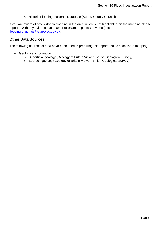o Historic Flooding Incidents Database (Surrey County Council)

If you are aware of any historical flooding in the area which is not highlighted on the mapping please report it, with any evidence you have (for example photos or videos), to [flooding.enquiries@surreycc.gov.uk.](mailto:flooding.enquiries@surreycc.gov.uk?subject=Historic%20Flooding%20Report)

#### <span id="page-3-0"></span>**Other Data Sources**

The following sources of data have been used in preparing this report and its associated mapping:

- Geological information
	- o Superficial geology (Geology of Britain Viewer; British Geological Survey)
	- o Bedrock geology (Geology of Britain Viewer; British Geological Survey)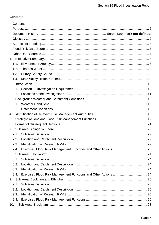## **Contents**

|      | Contents |  |
|------|----------|--|
|      |          |  |
|      |          |  |
|      |          |  |
|      |          |  |
|      |          |  |
|      |          |  |
|      |          |  |
| 1.1. |          |  |
| 1.2. |          |  |
| 1.3. |          |  |
| 1.4. |          |  |
|      |          |  |
| 2.1. |          |  |
| 2.2. |          |  |
| 3.   |          |  |
| 3.1. |          |  |
| 3.2. |          |  |
| 4.   |          |  |
| 5.   |          |  |
| 6.   |          |  |
| 7.   |          |  |
| 7.1. |          |  |
| 7.2. |          |  |
| 7.3. |          |  |
| 7.4. |          |  |
|      |          |  |
| 8.1. |          |  |
| 8.2. |          |  |
| 8.3. |          |  |
| 8.4. |          |  |
|      |          |  |
| 9.1. |          |  |
| 9.2. |          |  |
| 9.3. |          |  |
| 9.4. |          |  |
|      |          |  |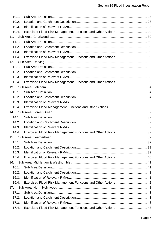|     | 10.1. |                                                                 |  |
|-----|-------|-----------------------------------------------------------------|--|
|     | 10.2. |                                                                 |  |
|     | 10.3. |                                                                 |  |
|     | 10.4. |                                                                 |  |
| 11. |       |                                                                 |  |
|     | 11.1. |                                                                 |  |
|     | 11.2. |                                                                 |  |
|     | 11.3. |                                                                 |  |
|     | 11.4. |                                                                 |  |
| 12. |       |                                                                 |  |
|     | 12.1. |                                                                 |  |
|     | 12.2. |                                                                 |  |
|     | 12.3. |                                                                 |  |
|     | 12.4. |                                                                 |  |
| 13. |       |                                                                 |  |
|     | 13.1. |                                                                 |  |
|     | 13.2. |                                                                 |  |
|     | 13.3. |                                                                 |  |
|     | 13.4. |                                                                 |  |
| 14. |       |                                                                 |  |
|     | 14.1. |                                                                 |  |
|     | 14.2. |                                                                 |  |
|     | 14.3. |                                                                 |  |
|     | 14.4. |                                                                 |  |
| 15. |       |                                                                 |  |
|     | 15.1. |                                                                 |  |
|     | 15.2. |                                                                 |  |
|     | 15.3. |                                                                 |  |
|     | 15.4. | Exercised Flood Risk Management Functions and Other Actions  40 |  |
| 16. |       |                                                                 |  |
|     | 16.1. |                                                                 |  |
|     | 16.2. |                                                                 |  |
|     | 16.3. |                                                                 |  |
|     | 16.4. | Exercised Flood Risk Management Functions and Other Actions  42 |  |
| 17. |       |                                                                 |  |
|     | 17.1. |                                                                 |  |
|     | 17.2. |                                                                 |  |
|     | 17.3. |                                                                 |  |
|     | 17.4. | Exercised Flood Risk Management Functions and Other Actions  43 |  |
|     |       |                                                                 |  |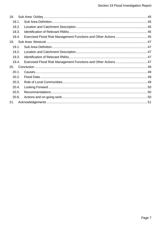| 18.      |                                                                 |  |
|----------|-----------------------------------------------------------------|--|
| 18.1.    |                                                                 |  |
| 18.2.    |                                                                 |  |
| 18.3.    |                                                                 |  |
| 18.4.    | Exercised Flood Risk Management Functions and Other Actions  45 |  |
| 19.      |                                                                 |  |
| 19.1.    |                                                                 |  |
| 19.2.    |                                                                 |  |
| 19.3.    |                                                                 |  |
| 19.4.    | Exercised Flood Risk Management Functions and Other Actions  47 |  |
| 20.      |                                                                 |  |
| $20.1$ . |                                                                 |  |
| 20.2.    |                                                                 |  |
| 20.3.    |                                                                 |  |
| 20.4.    |                                                                 |  |
| 20.5.    |                                                                 |  |
| 20.6.    |                                                                 |  |
| 21.      |                                                                 |  |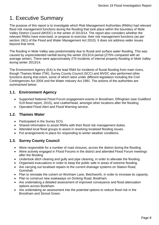## <span id="page-7-0"></span>1. Executive Summary

The purpose of this report is to investigate which Risk Management Authorities (RMAs) had relevant flood risk management functions during the flooding that took place within the boundary of Mole Valley District Council (MVDC) in the winter of 2013/14. The report also considers whether the relevant RMAs have exercised, or propose to exercise, their risk management functions (as per section 19(1) of the Flood and Water Management Act 2010). It does not address wider issues beyond that remit.

The flooding in Mole Valley was predominately due to fluvial and surface water flooding. This was caused by unprecedented rainfall during the winter 2013/14 period (275% compared with an average winter). There were approximately 270 incidents of internal property flooding in Mole Valley during winter 2013/14.

The Environment Agency (EA) is the lead RMA for incidents of fluvial flooding from main rivers, though Thames Water (TW), Surrey County Council (SCC) and MVDC also performed other functions during that event, some of which were under different legislation including the Civil Contingencies Act 2004 and the Water industry Act 1991. The actions of the authorities are summarised below:

## <span id="page-7-1"></span>**1.1. Environment Agency**

- Supported National Flood Forum engagement events in Brookham, Effingham (see Guildford S19 flood report, 2015), and Leatherhead, amongst other locations after the flooding.
- Operated Flood Alert and Flood Warning service.

#### <span id="page-7-2"></span>**1.2. Thames Water**

- Participated in the Surrey SCG.
- Shared information to assist RMAs with their flood risk management duties.
- Attended local flood groups to assist in resolving localised flooding issues.
- Put arrangements in place for responding to winter weather conditions.

## <span id="page-7-3"></span>**1.3. Surrey County Council**

- Were responsible for a number of road closures, across the district during the flooding.
- Were actively engaged in Flood Forums in the district and attended Flood Forum meetings after the flooding.
- Undertook ditch clearing and gully and pipe cleaning, in order to alleviate the flooding.
- Organised evacuations in order to keep the public safe in areas of extreme flooding.
- Are carrying out localised repairs to the current drainage systems on Station Road, Gomshall.
- Plan to reinstate the culvert on Wonham Lane, Betchworth, in order to increase its capacity.
- Plan to construct new soakaways on Dorking Road, Bookham.
- Are undertaking a detailed assessment of improved conveyance and flood attenuation options across Bookham.
- Are undertaking an assessment into the potential options to reduce flood risk in the Brockham and Strood Green.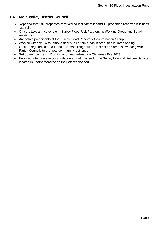## <span id="page-8-0"></span>**1.4. Mole Valley District Council**

- Reported that 181 properties received council tax relief and 13 properties received business rate relief.
- Officers take an active role in Surrey Flood Risk Partnership Working Group and Board meetings
- Are active participants of the Surrey Flood Recovery Co-Ordination Group.
- Worked with the EA to remove debris in certain areas in order to alleviate flooding.
- Officers regularly attend Flood Forums throughout the District and are also working with Parish Councils to promote community resilience.
- Set up rest centres in Dorking and Leatherhead on Christmas Eve 2013.
- Provided alternative accommodation at Park House for the Surrey Fire and Rescue Service located in Leatherhead when their offices flooded.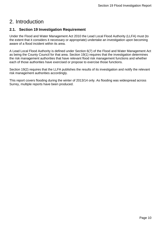## <span id="page-9-0"></span>2. Introduction

## <span id="page-9-1"></span>**2.1. Section 19 Investigation Requirement**

Under the Flood and Water Management Act 2010 the Lead Local Flood Authority (LLFA) must (to the extent that it considers it necessary or appropriate) undertake an investigation upon becoming aware of a flood incident within its area.

A Lead Local Flood Authority is defined under Section 6(7) of the Flood and Water Management Act as being the County Council for that area. Section 19(1) requires that the investigation determines the risk management authorities that have relevant flood risk management functions and whether each of those authorities have exercised or propose to exercise those functions.

Section 19(2) requires that the LLFA publishes the results of its investigation and notify the relevant risk management authorities accordingly.

This report covers flooding during the winter of 2013/14 only. As flooding was widespread across Surrey, multiple reports have been produced.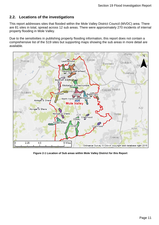### <span id="page-10-0"></span>**2.2. Locations of the investigations**

This report addresses sites that flooded within the Mole Valley District Council (MVDC) area. There are 81 sites in total, spread across 12 sub areas. There were approximately 270 incidents of internal property flooding in Mole Valley.

Due to the sensitivities in publishing property flooding information, this report does not contain a comprehensive list of the S19 sites but supporting maps showing the sub areas in more detail are available.



**Figure 2-1 Location of Sub areas within Mole Valley District for this Report**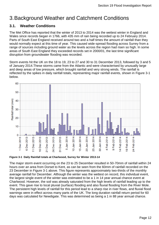## <span id="page-11-0"></span>3.Background Weather and Catchment Conditions

## <span id="page-11-1"></span>**3.1. Weather Conditions**

The Met Office has reported that the winter of 2013 to 2014 was the wettest winter in England and Wales since records began in 1766, with 435 mm of rain being recorded up to 24 February 2014. Parts of South East England received around two and a half times the amount of rainfall than they would normally expect at this time of year. This caused wide-spread flooding across Surrey from a range of sources including ground water as the levels across the region had risen so high. In some areas of South East England they exceeded records set in 2000/01, the last time significant disruption from groundwater flooding was recorded.

Storm events hit the UK on the 18 to 19, 23 to 27 and 30 to 31 December 2013, followed by 3 and 5 of January 2014.These storms came from the Atlantic and were characterised by unusually large and deep areas of low pressure, which brought rainfall and very strong winds. The rainfall is reflected by the spikes in daily rainfall totals, representing major rainfall events, shown in Figure 3-1 below.



**Figure 3-1 Daily Rainfall totals at Charlwood, Surrey for Winter 2013-14**

The major storm event occurring on the 23 to 25 December resulted in 50-70mm of rainfall within 24 hours over an area from Dorset to Kent, as can be seen from the 60mm of rainfall recorded on the 23 December in Figure 3-1 above. This figure represents approximately two-thirds of the monthly average rainfall for December. Although the winter was the wettest on record, this individual event, the largest single event of the winter was estimated to be a 1 in 14 year annual chance event at Charlwood. However, the soil was already saturated from the high levels of rainfall leading up to the event. This gave rise to local pluvial (surface) flooding and also fluvial flooding from the River Mole. The persistent high levels of rainfall for this period lead to a sharp rise in river flows, and fluvial flood warnings were in effect across many parts of the UK. The long duration rainfall return period for 60 days was calculated for Newdigate. This was determined as being a 1 in 88 year annual chance.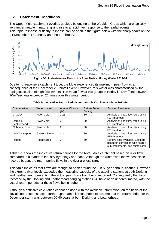### <span id="page-12-0"></span>**3.2. Catchment Conditions**

The Upper Mole catchment overlies geology belonging to the Wealden Group which are typically very impermeable in nature, giving rise to a rapid river response to the rainfall events. This rapid response or flashy response can be seen in the figure below with the sharp peaks on the 24 December, 17 January and the 1 February.



**Figure 3-2 Instantaneous Flow in the River Mole at Horley Winter 2013-14**

Due to its responsive catchment type, the Mole experienced its maximum peak flow as a consequence of the December 23 rainfall event. However, this winter was characterised by the rapid succession of high flow events. The mean flow at this gauge in Horley is 1.4m<sup>3</sup>/sec, however 10m<sup>3</sup>/sec was exceeded 26 times over this winter period.

| Communities             | Watercourse           | <b>Annual Chance</b><br>(%) | <b>Return Period</b><br>(years) | Source of estimate                                                                                        |
|-------------------------|-----------------------|-----------------------------|---------------------------------|-----------------------------------------------------------------------------------------------------------|
| Crawley                 | <b>River Mole</b>     | 1.25                        | 80                              | Analysis of peak flow rates using<br>FEH methods                                                          |
| Dorking,<br>Leatherhead | <b>River Mole</b>     | 2                           | 50                              | Analysis of peak flow rates using<br>FEH methods                                                          |
| Cobham, Esher           | <b>River Mole</b>     | 2                           | 50                              | Analysis of peak flow rates using<br>FEH methods                                                          |
| <b>Gatwick Airport</b>  | <b>Gatwick Stream</b> | 3.3                         | 30                              | Analysis of peak flow rates using<br>FEH methods                                                          |
| Redhill                 | <b>Redhill Brook</b>  | 2                           | 50                              | No flow data available. Estimate<br>based on correlation with nearby<br>sub-catchments, and rainfall data |

**Table 3-1 Indicative Return Periods for the Mole Catchment Winter 2013-14**

Table 3-1 shows the indicative return periods for the River Mole catchment based on river flow compared to a standard industry hydrology approach. Although the winter was the wettest since records began, the return period flows in the river are less rare.

This table indicates that flows are thought to peak around the 1 in 50 year annual chance. However, the extreme river levels exceeded the measuring capacity of the gauging stations at both Dorking and Leatherhead, preventing the actual peak flows from being recorded. Consequently the flows recorded by the Dorking and Leatherhead gauging stations will have been underestimated, with the actual return periods for these flows being higher.

Although a definitive calculation cannot be done with the available information, on the basis of the fluvial flood response seen further upstream it is reasonable to assume that the return period for the December storm was between 60-90 years at both Dorking and Leatherhead.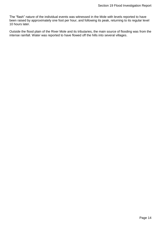The "flash" nature of the individual events was witnessed in the Mole with levels reported to have been raised by approximately one foot per hour, and following its peak, returning to its regular level 10 hours later.

Outside the flood plain of the River Mole and its tributaries, the main source of flooding was from the intense rainfall. Water was reported to have flowed off the hills into several villages.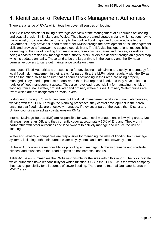## <span id="page-14-0"></span>4. Identification of Relevant Risk Management Authorities

There are a range of RMAs which together cover all sources of flooding.

The EA is responsible for taking a strategic overview of the management of all sources of flooding and coastal erosion in England and Wales. They have prepared strategic plans which set out how to manage risk, provide evidence for example their online flood maps, and provide advice to the Government. They provide support to the other RMAs through the development of risk management skills and provide a framework to support local delivery. The EA also has operational responsibility for managing the risk of flooding from main rivers, reservoirs, estuaries and the sea, as well as being a coastal erosion risk management authority. Main Rivers are defined through an agreed map which is updated annually. These tend to be the larger rivers in the country and the EA have permissive powers to carry out maintenance works on them.

Lead Local Flood Authorities are responsible for developing, maintaining and applying a strategy for local flood risk management in their areas. As part of this, the LLFA liaises regularly with the EA as well as the other RMAs to ensure that all sources of flooding in their area are being properly managed. They need to produce reports when there is a reported flood, and they have to keep a register of flood management assets. They also have lead responsibility for managing the risk of flooding from surface water, groundwater and ordinary watercourses. Ordinary Watercourses are rivers which are not designated as 'Main Rivers'.

District and Borough Councils can carry out flood risk management works on minor watercourses, working with the LLFA. Through the planning processes, they control development in their area, ensuring that flood risks are effectively managed. If they cover part of the coast, then District and Unitary councils also act as coastal erosion RMAs.

Internal Drainage Boards (IDB) are responsible for water level management in low lying areas. Not all areas require an IDB, and they currently cover approximately 10% of England. They work in partnership with other authorities and land owners to actively manage and reduce the risk of flooding.

Water and sewerage companies are responsible for managing the risks of flooding from drainage systems, including both their surface water only systems and combined sewer systems.

Highway Authorities are responsible for providing and managing highway drainage and roadside ditches, and must ensure that road projects do not increase flood risk.

[Table 4-1](#page-15-0) below summarises the RMAs responsible for the sites within this report. The ticks indicate which authorities have responsibility for which function. SCC is the LLFA. TW is the water company that has responsibility for all sources of sewer flooding. There are no Internal Drainage Boards in MVDC area.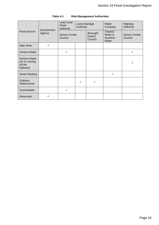<span id="page-15-0"></span>

| <b>Flood Source</b>                                   | Environment<br>Agency | <b>Lead Local</b><br>Flood<br>Authority | Land Drainage<br>Authority |                                        | Water<br>Company                              | Highway<br>Authority            |
|-------------------------------------------------------|-----------------------|-----------------------------------------|----------------------------|----------------------------------------|-----------------------------------------------|---------------------------------|
|                                                       |                       | <b>Surrey County</b><br>Council         |                            | Borough/<br><b>District</b><br>Council | <b>Thames</b><br>Water &<br>Southern<br>Water | <b>Surrey County</b><br>Council |
| <b>Main River</b>                                     | ✓                     |                                         |                            |                                        |                                               |                                 |
| Surface Water                                         |                       | ✓                                       |                            |                                        |                                               | ✓                               |
| Surface Water<br>(on or coming<br>off the<br>highway) |                       |                                         |                            |                                        |                                               | ✓                               |
| Sewer flooding                                        |                       |                                         |                            |                                        | $\checkmark$                                  |                                 |
| Ordinary<br>Watercourse                               |                       |                                         | ✓                          | ✓                                      |                                               |                                 |
| Groundwater                                           |                       | ✓                                       |                            |                                        |                                               |                                 |
| Reservoirs                                            | ✓                     |                                         |                            |                                        |                                               |                                 |

#### **Table 4-1 Risk Management Authorities**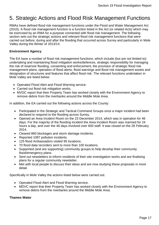## <span id="page-16-0"></span>5. Strategic Actions and Flood Risk Management Functions

RMAs have defined flood risk management functions under the Flood and Water Management Act (2010). A flood risk management function is a function listed in the Act (or related Acts) which may be exercised by an RMA for a purpose connected with flood risk management. The following section sets out the strategic actions and relevant flood risk management functions that were carried out before, during and after the flooding that occurred across Surrey and particularly in Mole Valley during the Winter of 2013/14.

#### **Environment Agency**

The EA have a number of flood risk management functions, which include (but are not limited to): undertaking and maintaining flood mitigation works/defences, strategic responsibility for managing the risk of reservoir flooding, consenting and enforcement, the provision of strategic flood risk management plans, operation of flood alerts, flood warnings and flood risk management assets and designation of structures and features that affect flood risk. The relevant functions undertaken in Mole Valley are listed below:

- Operated Flood Alert and Flood Warning service.
- Carried out flood risk mitigation works.
- MVDC report that their Property Team has worked closely with the Environment Agency to remove debris from the riverbanks around the Middle Mole Area.

In addition, the EA carried out the following actions across the County:

- Participated in the Strategic and Tactical Command Groups once a major incident had been declared to respond to the flooding across Surrey.
- Opened an Area Incident Room on the 23 December 2014, which was in operation for 46 days. For the majority of the flooding incident the Area Incident Room was manned for 24 hours a day, and over the 46 days involved over 600 staff. It was closed on the 28 February 2014.
- Cleared 860 blockages and storm damage incidents.
- Reported 1087 pollution incidents.
- 125 flood Ambassadors visited 95 locations.
- 70 flood data recorders sent to more than 100 locations.
- Supported (and are supporting) community groups to help develop their community flood/emergency plans.
- Sent out newsletters to inform residents of their site investigation works and are finalising plans for a regular community newsletter.
- Met with local people to discuss their ideas and are now studying these proposals in more detail.

Specifically in Mole Valley the actions listed below were carried out:

- Operated Flood Alert and Flood Warning service.
- MDVC report that their Property Team has worked closely with the Environment Agency to remove debris from the riverbanks around the Middle Mole Area.

#### **Thames Water**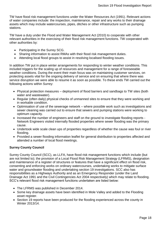TW have flood risk management functions under the Water Resources Act (1991). Relevant actions of water companies include: the inspection, maintenance, repair and any works to their drainage assets which may include watercourses, pipes, ditches or other infrastructure such as pumping stations.

TW have a duty under the Flood and Water Management Act (2010) to cooperate with other relevant authorities in the exercising of their flood risk management functions. TW cooperated with other authorities by:

- Participating in the Surrey SCG.
- Sharing information to assist RMAs with their flood risk management duties.
- Attending local flood groups to assist in resolving localised flooding issues.

In addition TW put in place winter arrangements for responding to winter weather conditions. This included triggers for the scaling up of resources and management for a range of foreseeable weather conditions. During the event their main focus was on maintaining customer services, on protecting assets vital for the ongoing delivery of service and on ensuring that where there was service disruption we were able to resume it as soon as possible. To these ends TW carried out the following actions within Surrey:

- Physical protection measures deployment of flood barriers and sandbags to TW sites (both water and wastewater).
- Regular (often daily) physical checks of unmanned sites to ensure that they were working and in workable condition.
- Optimisation of use of the sewerage network where possible work such as investigations and sewer cleaning was carried out to ensure that sewers and pumping stations were working to optimum capacity.
- Increased the number of engineers and staff on the ground to investigate flooding reports -Network Engineers visited internally flooded properties where sewer flooding was the primary cause.
- Undertook wide scale clean ups of properties regardless of whether the cause was foul or river flooding.
- Provided a sewer flooding information leaflet for general distribution to properties affected and attended a number of local flood meetings.

#### **Surrey County Council**

Surrey County Council (SCC), as LLFA, have flood risk management functions which include (but are not limited to); the provision of a Local Flood Risk Management Strategy (LFRMS), designation and maintenance of a register of structures or features that have a significant effect on flood risk, consenting and enforcing works on ordinary watercourses, undertaking works to mitigate surface water and groundwater flooding and undertaking section 19 investigations. SCC also has responsibilities as a Highways Authority and as an Emergency Responder (under the Land Drainage Act 1991 and the Civil Contingencies Act 2004 respectively) which may relate to flooding. SCC's relevant flood risk management functions undertaken are listed below:

- The LFRMS was published in December 2014.
- Some key drainage assets have been identified in Mole Valley and added to the Flooding asset register.
- Section 19 reports have been produced for the flooding experienced across the county in Winter 2013/14.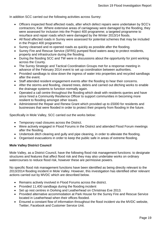In addition SCC carried out the following activities across Surrey:

- Officers inspected flood affected roads, after which defect repairs were undertaken by SCC's contractors; Kier. Where extensive areas of carriageway were damaged by the flooding, they were assessed for inclusion into the Project 400 programme; a targeted programme to resurface and repair roads which were damaged by the Winter 2013/14 floods.
- All flood affected roads in Surrey were assessed for potential schemes that may be included in the Project 400 programme.
- Surrey cleansed and re-opened roads as quickly as possible after the flooding.
- Surrey Fire and Rescue Service (SFRS) pumped flood waters away to protect residents, property and infrastructure during the flooding.
- During the flooding SCC and TW were in discussions about the opportunity for joint working across the County.
- The Surrey Strategic and Tactical Coordination Groups met for a response meeting in advance of the February 2014 event to set up coordination between authorities.
- Provided sandbags to slow down the ingress of water into properties and recycled sandbags after the event.
- Staff attended resident engagement events after the flooding to hear their concerns.
- After the storms and flooding, cleared trees, debris and carried out ditching works to enable the drainage systems to function normally again.
- Operated a call centre throughout the flooding which dealt with residents queries and have since hired a Community Resilience Officer to support communities in becoming more resilient to flooding amongst other issues.
- Administered the Repair and Renew Grant which provided up to £5000 for residents and businesses that were flooded in order to protect their property from flooding in the future.

Specifically in Mole Valley, SCC carried out the works below:

- Temporary road closures across the District.
- Were actively engaged in Flood Forums in the District and attended Flood Forum meetings after the flooding.
- Undertook ditch clearing and gully and pipe cleaning, in order to alleviate the flooding.
- Organised evacuations in order to keep the public safe in areas of extreme flooding.

#### **Mole Valley District Council**

Mole Valley, as a District Council, have the following flood risk management functions: to designate structures and features that affect flood risk and they may also undertake works on ordinary watercourses to reduce flood risk, however these are permissive powers.

No specific flood risk management functions have been identified as being directly relevant to the 2013/2014 flooding incident in Mole Valley. However, this investigation has identified other relevant actions carried out by MVDC which are described below.

- Remains actively involved in Flood Forums across the district.
- Provided 11,400 sandbags during the flooding incident
- Set up rest centres in Dorking and Leatherhead on Christmas Eve 2013.
- Provided alternative accommodation at Park House for the Surrey Fire and Rescue Service located in Leatherhead when their offices flooded.
- Ensured a constant flow of information throughout the flood incident via the MVDC website, Twitter, Facebook and Customer Service Unit.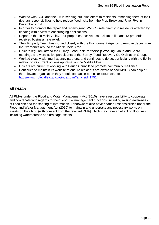- Worked with SCC and the EA in sending out joint letters to residents, reminding them of their riparian responsibilities to help reduce flood risks from the Pipp Brook and River Rye in December 2014.
- In order to promote the repair and renew grant, MVDC wrote directly to residents affected by flooding with a view to encouraging applications.
- Reported that in Mole Valley, 181 properties received council tax relief and 13 properties received business rate relief.
- Their Property Team has worked closely with the Environment Agency to remove debris from the riverbanks around the Middle Mole Area.
- Officers regularly attend the Surrey Flood Risk Partnership Working Group and Board meetings and were active participants of the Surrey Flood Recovery Co-Ordination Group.
- Worked closely with multi agency partners, and continues to do so, particularly with the EA in relation to its current options appraisal on the Middle Mole.
- Officers are currently working with Parish Councils to promote community resilience.
- Continues to maintain its website to ensure residents are aware of how MVDC can help or the relevant organisation they should contact in particular circumstances: <http://www.molevalley.gov.uk/index.cfm?articleid=17514>

## **All RMAs**

All RMAs under the Flood and Water Management Act (2010) have a responsibility to cooperate and coordinate with regards to their flood risk management functions, including raising awareness of flood risk and the sharing of information. Landowners also have riparian responsibilities under the Flood and Water Management Act (2010) to maintain and undertake any necessary works on assets on their land (with consent from the relevant RMA) which may have an effect on flood risk including watercourses and drainage assets.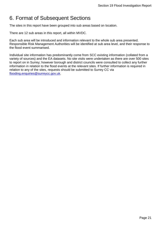## <span id="page-20-0"></span>6. Format of Subsequent Sections

The sites in this report have been grouped into sub areas based on location.

There are 12 sub areas in this report, all within MVDC.

Each sub area will be introduced and information relevant to the whole sub area presented. Responsible Risk Management Authorities will be identified at sub area level, and their response to the flood event summarised.

Individual site information has predominantly come from SCC existing information (collated from a variety of sources) and the EA datasets. No site visits were undertaken as there are over 500 sites to report on in Surrey; however borough and district councils were consulted to collect any further information in relation to the flood events at the relevant sites. If further information is required in relation to any of the sites, requests should be submitted to Surrey CC via [flooding.enquiries@surreycc.gov.uk.](mailto:flooding.enquiries@surreycc.gov.uk)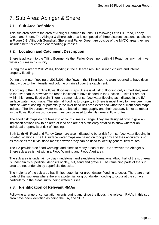## <span id="page-21-0"></span>7. Sub Area: Abinger & Shere

## <span id="page-21-1"></span>**7.1. Sub Area Definition**

This sub area covers the area of Abinger Common to Leith Hill following Leith Hill Road, Farley Green and Shere. The Abinger & Shere sub area is composed of three discreet locations, as shown in Figure 2-1. Although Gomshall, Shere and Farley Green are outside of the MVDC area, they are included here for convenient reporting purposes.

## <span id="page-21-2"></span>**7.2. Location and Catchment Description**

Shere is adjacent to the Tilling Bourne. Neither Farley Green nor Leith Hill Road has any main river water courses in its vicinity.

During the winter of 2013/2014, flooding in the sub area resulted in road closure and internal property flooding.

During the winter flooding of 2013/2014 the flows in the Tilling Bourne were reported to have risen sharply due to the intensity and volume of rainfall over the catchment.

According to the EA online fluvial flood risk maps Shere is at risk of flooding only immediately next to the river banks, however the roads indicated to have flooded in the Section 19 site list are not within this narrow flood plain. There is some risk of surface water flooding as indicated in the EA surface water flood maps. The internal flooding to property in Shere is most likely to have been from surface water flooding, or potentially the river flood risk area exceeded what the current flood maps indicate. The EA surface water maps are based on topography and their accuracy is not as robust as the fluvial flood maps; however they can be used to identify general flow routes.

The flood risk maps do not take into account climate change. They are designed only to give an indication of flood risk to an area of land and are not sufficiently detailed to show whether an individual property is at risk of flooding.

Both Leith Hill Road and Farley Green are also indicated to be at risk from surface water flooding in isolated locations. The EA surface water maps are based on topography and their accuracy is not as robust as the fluvial flood maps; however they can be used to identify general flow routes.

The EA provide free flood warnings and alerts to many areas of the UK; however the Abinger & Shere sub area is not within a Flood Warning and Flood Alert area.

The sub area is underlain by clay (mudstone) and sandstone formations. About half of the sub area is underlain by superficial; deposits of clay, silt, sand and gravels. The remaining parts of the sub area are not underlain by superficial deposits.

The majority of the sub area has limited potential for groundwater flooding to occur. There are small parts of the sub area where there is a potential for groundwater flooding to occur at the surface, particularly in the areas surrounding watercourses.

### <span id="page-21-3"></span>**7.3. Identification of Relevant RMAs**

Following a range of consultation events during and since the floods, the relevant RMAs in this sub area have been identified as being the EA, and SCC.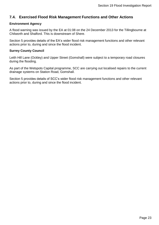## <span id="page-22-0"></span>**7.4. Exercised Flood Risk Management Functions and Other Actions**

#### **Environment Agency**

A flood warning was issued by the EA at 01:08 on the 24 December 2013 for the Tillingbourne at Chilworth and Shalford. This is downstream of Shere.

Section [5](#page-16-0) provides details of the EA's wider flood risk management functions and other relevant actions prior to, during and since the flood incident.

#### **Surrey County Council**

Leith Hill Lane (Ockley) and Upper Street (Gomshall) were subject to a temporary road closures during the flooding.

As part of the Wetspots Capital programme, SCC are carrying out localised repairs to the current drainage systems on Station Road, Gomshall.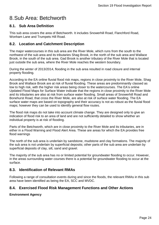## <span id="page-23-0"></span>8.Sub Area: Betchworth

### <span id="page-23-1"></span>**8.1. Sub Area Definition**

This sub area covers the area of Betchworth. It includes Snowerhill Road, Flanchford Road, Wonham Lane and Trumpets Hill Road.

#### <span id="page-23-2"></span>**8.2. Location and Catchment Description**

The major watercourses in this sub area are the River Mole, which runs from the south to the northwest of the sub area and its tributaries Shag Brook, in the north of the sub area and Wallace Brook, in the south of the sub area. Gad Brook is another tributary of the River Mole that is located just outside the sub area, where the River Mole reaches the western boundary.

During the winter of 2013/2014, flooding in the sub area resulted in road closure and internal property flooding.

According to the EA online fluvial flood risk maps, regions in close proximity to the River Mole, Shag Brook and Wallace Brook are at risk of fluvial flooding. These areas are predominantly classed as low to high risk, with the higher risk areas being closer to the watercourses. The EA's online Updated Flood Maps for Surface Water indicate that the regions in close proximity to the River Mole and its tributaries are also at risk from surface water flooding. Small areas of Snowerhill Road and Bonehurst Road, that cross the River Mole, are also at risk of surface water flooding. The EA surface water maps are based on topography and their accuracy is not as robust as the fluvial flood maps; however they can be used to identify general flow routes.

The flood risk maps do not take into account climate change. They are designed only to give an indication of flood risk to an area of land and are not sufficiently detailed to show whether an individual property is at risk of flooding.

Parts of the Betchworth, which are in close proximity to the River Mole and its tributaries, are in either in a Flood Warning and Flood Alert Area. These are areas for which the EA provides free flood warnings

The north of the sub area is underlain by sandstone, mudstone and clay formations. The majority of the sub area is not underlain by superficial deposits; other parts of the sub area are underlain by superficial deposits of clay, silt, sand and gravel.

The majority of the sub area has no or limited potential for groundwater flooding to occur. However, in the areas surrounding water courses there is a potential for groundwater flooding to occur at the surface.

### <span id="page-23-3"></span>**8.3. Identification of Relevant RMAs**

Following a range of consultation events during and since the floods, the relevant RMAs in this sub area have been identified as being the EA, SCC and MVDC.

#### <span id="page-23-4"></span>**8.4. Exercised Flood Risk Management Functions and Other Actions**

**Environment Agency**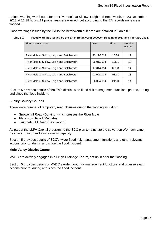A flood warning was issued for the River Mole at Sidlow, Leigh and Betchworth, on 23 December 2013 at 16.38 hours. 11 properties were warned, but according to the EA records none were flooded.

Flood warnings issued by the EA to the Betchworth sub area are detailed in [Table 8-1.](#page-24-0)

#### <span id="page-24-0"></span>**Table 8-1 Flood warnings issued by the EA in Betchworth between December 2013 and February 2014.**

| Flood warning area                         | Date       | Time  | <b>Number</b><br>warned |
|--------------------------------------------|------------|-------|-------------------------|
| River Mole at Sidlow, Leigh and Betchworth | 23/12/2013 | 16:38 | 11                      |
| River Mole at Sidlow, Leigh and Betchworth | 06/01/2014 | 19:31 | 13                      |
| River Mole at Sidlow, Leigh and Betchworth | 17/01/2014 | 09:58 | 14                      |
| River Mole at Sidlow, Leigh and Betchworth | 01/02/2014 | 03:11 | 13                      |
| River Mole at Sidlow, Leigh and Betchworth | 06/02/2014 | 21:20 | 14                      |

Section [5](#page-16-0) provides details of the EA's district-wide flood risk management functions prior to, during and since the flood incident.

#### **Surrey County Council**

There were number of temporary road closures during the flooding including:

- Snowerhill Road (Dorking) which crosses the River Mole
- Flanchford Road (Reigate)
- Trumpets Hill Road (Betchworth)

As part of the LLFA Capital programme the SCC plan to reinstate the culvert on Wonham Lane, Betchworth, in order to increase its capacity.

Section [5](#page-16-0) provides details of SCC's wider flood risk management functions and other relevant actions prior to, during and since the flood incident.

#### **Mole Valley District Council**

MVDC are actively engaged in a Leigh Drainage Forum, set up in after the flooding.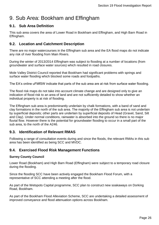## <span id="page-25-0"></span>9. Sub Area: Bookham and Effingham

## <span id="page-25-1"></span>**9.1. Sub Area Definition**

This sub area covers the area of Lower Road in Bookham and Effingham, and High Barn Road in Effingham.

## <span id="page-25-2"></span>**9.2. Location and Catchment Description**

There are no major watercourses in the Effingham sub area and the EA flood maps do not indicate any risk of river flooding from Main Rivers.

During the winter of 2013/2014 Effingham was subject to flooding at a number of locations (from groundwater and surface water sources) which resulted in road closures.

Mole Valley District Council reported that Bookham had significant problems with springs and surface water flooding which blocked some roads and footpaths.

The EA's online uFMfSW indicate that parts of the sub area are at risk from surface water flooding.

The flood risk maps do not take into account climate change and are designed only to give an indication of flood risk to an area of land and are not sufficiently detailed to show whether an individual property is at risk of flooding.

The Effingham sub area is predominantly underlain by chalk formations, with a band of sand and clay formations in the north of the sub area. The majority of the Effingham sub area is not underlain by superficial deposits; other parts are underlain by superficial deposits of Head (Gravel, Sand, Silt and Clay). Under normal conditions, rainwater is absorbed into the ground so there is no major fluvial flow. However there is the potential for groundwater flooding to occur in a small part of the sub area, to the north of the A246.

### <span id="page-25-3"></span>**9.3. Identification of Relevant RMAS**

Following a range of consultation events during and since the floods, the relevant RMAs in this sub area has been identified as being SCC and MVDC.

#### <span id="page-25-4"></span>**9.4. Exercised Flood Risk Management Functions**

#### **Surrey County Council**

Lower Road (Bookham) and High Barn Road (Effingham) were subject to a temporary road closure during the flooding.

Since the flooding SCC have been actively engaged the Bookham Flood Forum, with a representative of SCC attending a meeting after the flood.

As part of the Wetspots Capital programme, SCC plan to construct new soakaways on Dorking Road, Bookham.

As part of the Bookham Flood Alleviation Scheme, SCC are undertaking a detailed assessment of improved conveyance and flood attenuation options across Bookham.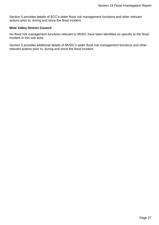Section [5](#page-16-0) provides details of SCC's wider flood risk management functions and other relevant actions prior to, during and since the flood incident.

#### **Mole Valley District Council**

No flood risk management functions relevant to MVDC have been identified as specific to the flood incident in this sub area.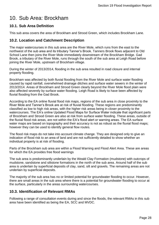## <span id="page-27-0"></span>10. Sub Area: Brockham

## <span id="page-27-1"></span>**10.1. Sub Area Definition**

This sub area covers the area of Brockham and Strood Green, which includes Brockham Lane.

### <span id="page-27-2"></span>**10.2. Location and Catchment Description**

The major watercourses in this sub area are the River Mole, which runs from the east to the northwest of the sub area and its tributary Tanner's Brook. Tanners Brook flows adjacent to Old School Lane then joins the River Mole immediately downstream of the Brockham Bridge. Gad Brook, a tributary of the River Mole, runs through the south of the sub area at Leigh Road before joining the River Mole, upstream of Brockham village.

During the winter of 2013/2014, flooding in the sub area resulted in road closure and internal property flooding.

Brockham was affected by both fluvial flooding from the River Mole and surface water flooding caused by rapid rainfall, overwhelmed drainage ditches and surface water sewers in the winter of 2013/2014. Areas of Brockham and Strood Green clearly beyond the River Mole flood plain were also affected severely by surface water flooding. Leigh Road is likely to have been affected by fluvial flooding from the Gad Brook.

According to the EA online fluvial flood risk maps, regions of the sub area in close proximity to the River Mole and Tanner's Brook are at risk of fluvial flooding. These regions are predominantly classified as low to high risk areas, with the higher risk areas being in closer proximity to the watercourses. The EA's online Updated Flood Maps for Surface Water indicate that significant parts of Brockham and Strood Green are also at risk from surface water flooding. These areas, outside of the fluvial flood risk areas, are not within the EA's flood alert or warning areas. The EA surface water maps are based on topography and their accuracy is not as robust as the fluvial flood maps; however they can be used to identify general flow routes.

The flood risk maps do not take into account climate change. They are designed only to give an indication of flood risk to an area of land and are not sufficiently detailed to show whether an individual property is at risk of flooding.

Parts of the Brockham sub area are within a Flood Warning and Flood Alert Area. These are areas for which the EA provides free flood warnings

The sub area is predominantly underlain by the Weald Clay Formation (mudstone) with outcrops of mudstone, sandstone and siltstone formations in the north of the sub area. Around half of the sub area is underlain by superficial deposits of clay, sand, silt and gravels. The remaining areas are not underlain by superficial deposits.

The majority of the sub area has no or limited potential for groundwater flooding to occur. However, there are small areas in the sub area where there is a potential for groundwater flooding to occur at the surface, particularly in the areas surrounding watercourses.

### <span id="page-27-3"></span>**10.3. Identification of Relevant RMAs**

Following a range of consultation events during and since the floods, the relevant RMAs in this sub area have been identified as being the EA, SCC and MVDC.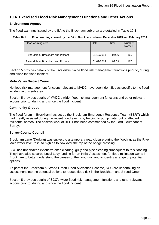## <span id="page-28-0"></span>**10.4. Exercised Flood Risk Management Functions and Other Actions**

#### **Environment Agency**

The flood warnings issued by the EA to the Brockham sub area are detailed in [Table 10-1](#page-28-1)

#### <span id="page-28-1"></span>**Table 10-1 Flood warnings issued by the EA in Brockham between December 2013 and February 2014.**

| Flood warning area                | Date       | Time  | <b>Number</b><br>warned |
|-----------------------------------|------------|-------|-------------------------|
| River Mole at Brockham and Pixham | 24/12/2013 | 04:56 | 165                     |
| River Mole at Brockham and Pixham | 01/02/2014 | 07:59 | 167                     |

Section [5](#page-16-0) provides details of the EA's district-wide flood risk management functions prior to, during and since the flood incident.

#### **Mole Valley District Council**

No flood risk management functions relevant to MVDC have been identified as specific to the flood incident in this sub area.

Section [5](#page-16-0) provides details of MVDC's wider flood risk management functions and other relevant actions prior to, during and since the flood incident.

#### **Community Groups**

The flood forum in Brockham has set up the Brockham Emergency Response Team (BERT) which had greatly assisted during the recent flood events by helping to pump water out of affected residents' homes. The positive work of BERT has been commended by the Lord Lieutenant of Surrey.

#### **Surrey County Council**

Brockham Lane (Dorking) was subject to a temporary road closure during the flooding, as the River Mole water level rose so high as to flow over the top of the bridge crossing.

SCC has undertaken extensive ditch clearing, gully and pipe cleaning subsequent to this flooding. They have also secured Local Levy funding for an Initial Assessment for flood mitigation works in Brockham to better understand the causes of the flood risk, and to identify a range of potential options.

As part of the Brockham & Strood Green Flood Alleviation Scheme, SCC are undertaking an assessment into the potential options to reduce flood risk in the Brockham and Strood Green.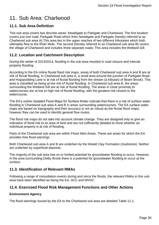## <span id="page-29-0"></span>11. Sub Area: Charlwood

## <span id="page-29-1"></span>**11.1. Sub Area Definition**

This sub area covers two discrete areas: Newdigate to Parkgate and Charlwood. The first location covers just one road, Parkgate Road which links Newdigate and Parkgate (hereby referred to as Charlwood sub area A).This area lies in the upper reaches of two different tributaries which both ultimately flow to the River Mole. The second (hereby referred to as Charlwood sub area B) covers the village of Charlwood and includes three separate roads. This area includes the Wetland Gill.

### <span id="page-29-2"></span>**11.2. Location and Catchment Description**

During the winter of 2013/2014, flooding in the sub area resulted in road closure and internal property flooding.

According to the EA online fluvial flood risk maps, areas of both Charlwood sub area A and B are at risk of fluvial flooding. In Charlwood sub area A, a small area around the junction of Parkgate Road and Hogspudding Lane is at risk of fluvial flooding from the stream (a tributary of Beam Brook). This area is classified as being at low risk of fluvial flooding. In Charlwood sub area B, the areas surrounding the Wetland Gill are at risk of fluvial flooding. The areas in close proximity to watercourses are at low to high risk of fluvial flooding, with the greatest risk closest to the watercourse.

The EA's online Updated Flood Maps for Surface Water indicate that there is a risk of surface water flooding in Charlwood sub area A and B in areas surrounding watercourses. The EA surface water maps are based on topography and their accuracy is not as robust as the fluvial flood maps; however they can be used to identify general flow routes.

The flood risk maps do not take into account climate change. They are designed only to give an indication of flood risk to an area of land and are not sufficiently detailed to show whether an individual property is at risk of flooding.

Parts of the Charlwood sub area are within Flood Alert Areas. These are areas for which the EA provides free flood warnings

Both Charlwood sub area A and B are underlain by the Weald Clay Formation (mudstone). Neither are underlain by superficial deposits.

The majority of the sub area has no or limited potential for groundwater flooding to occur. However, in the area surrounding Dolby Brook there is a potential for groundwater flooding to occur at the surface.

### <span id="page-29-3"></span>**11.3. Identification of Relevant RMAs**

Following a range of consultation events during and since the floods, the relevant RMAs in this sub area have been identified as being the EA, SCC and MVDC.

#### <span id="page-29-4"></span>**11.4. Exercised Flood Risk Management Functions and Other Actions**

#### **Environment Agency**

The flood warnings issued by the EA to the Charlwood sub area are detailed [Table 11-1.](#page-30-0)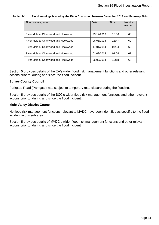#### <span id="page-30-0"></span>**Table 11-1 Flood warnings issued by the EA in Charlwood between December 2013 and February 2014.**

| Flood warning area                   | Date       | Time  | <b>Number</b><br>warned |
|--------------------------------------|------------|-------|-------------------------|
| River Mole at Charlwood and Hookwood | 23/12/2013 | 16:56 | 68                      |
| River Mole at Charlwood and Hookwood | 06/01/2014 | 18:47 | 69                      |
| River Mole at Charlwood and Hookwood | 17/01/2014 | 07:34 | 65                      |
| River Mole at Charlwood and Hookwood | 01/02/2014 | 01:54 | 61                      |
| River Mole at Charlwood and Hookwood | 06/02/2014 | 19:18 | 68                      |

Section [5](#page-16-0) provides details of the EA's wider flood risk management functions and other relevant actions prior to, during and since the flood incident.

#### **Surrey County Council**

Parkgate Road (Parkgate) was subject to temporary road closure during the flooding.

Section [5](#page-16-0) provides details of the SCC's wider flood risk management functions and other relevant actions prior to, during and since the flood incident.

#### **Mole Valley District Council**

No flood risk management functions relevant to MVDC have been identified as specific to the flood incident in this sub area.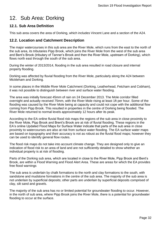## <span id="page-31-0"></span>12. Sub Area: Dorking

### <span id="page-31-1"></span>**12.1. Sub Area Definition**

This sub area covers the area of Dorking, which includes Vincent Lane and a section of the A24.

## <span id="page-31-2"></span>**12.2. Location and Catchment Description**

The major watercourses in this sub area are the River Mole, which runs from the east to the north of the sub area, its tributaries Pipp Brook, which joins the River Mole from the west of the sub area and Bent's Brook (tributary of Tanner's Brook and then the River Mole, upstream of Dorking), which flows north east through the south of the sub area.

During the winter of 2013/2014, flooding in the sub area resulted in road closure and internal property flooding.

Dorking was affected by fluvial flooding from the River Mole, particularly along the A24 between Mickleham and Dorking.

In some places in the Middle River Mole Catchment (Dorking, Leatherhead, Fetcham and Cobham), it was not possible to distinguish between river and surface water flooding.

The area was initially forecast 45mm of rain on 24 December 2013. The Mole corridor filled overnight and actually received 75mm, with the River Mole rising at least 1ft per hour. Some of the flooding was caused by the River Mole being at capacity and could not cope with the additional flow coming from Pipp Brook. This resulted in properties in the centre of Dorking being flooded. The River Mole returned to normal levels approximately 12 hours after its peak.

According to the EA online fluvial flood risk maps the regions of the sub area in close proximity to the River Mole, Pipp Brook and Brent's Brook are at risk of fluvial flooding. These regions in the EA's online Updated Flood Maps for Surface Water indicate that parts of the sub area in close proximity to watercourses are also at risk from surface water flooding. The EA surface water maps are based on topography and their accuracy is not as robust as the fluvial flood maps; however they can be used to identify general flow routes.

The flood risk maps do not take into account climate change. They are designed only to give an indication of flood risk to an area of land and are not sufficiently detailed to show whether an individual property is at risk of flooding.

Parts of the Dorking sub area, which are located in close to the River Mole, Pipp Brook and Bent's Brook, are within a Flood Warning and Flood Alert Area. These are areas for which the EA provides free flood warnings

The sub area is underlain by chalk formations to the north and clay formations to the south, with sandstone and mudstone formations in the centre of the sub area. The majority of the sub area is not underlain by superficial deposits; other parts are underlain by superficial deposits comprised of clay, silt sand and gravels.

The majority of the sub area has no or limited potential for groundwater flooding to occur. However, in the north of sub area, where Pipp Brook joins the River Mole, there is a potential for groundwater flooding to occur at the surface.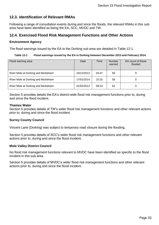## <span id="page-32-0"></span>**12.3. Identification of Relevant RMAs**

Following a range of consultation events during and since the floods, the relevant RMAs in this sub area have been identified as being the EA, SCC, MVDC and TW.

#### <span id="page-32-1"></span>**12.4. Exercised Flood Risk Management Functions and Other Actions**

#### **Environment Agency**

The flood warnings issued by the EA to the Dorking sub area are detailed in [Table 12-1.](#page-32-2)

#### <span id="page-32-2"></span>**Table 12-1 Flood warnings issued by the EA in Dorking between December 2013 and February 2014.**

| Flood warning area                  | Date       | Time  | <b>Number</b><br>warned | EA count of those<br>flooded |
|-------------------------------------|------------|-------|-------------------------|------------------------------|
| River Mole at Dorking and Mickleham | 24/12/2013 | 04:47 | 59                      | 9                            |
| River Mole at Dorking and Mickleham | 17/01/2014 | 15:25 | 59                      |                              |
| River Mole at Dorking and Mickleham | 01/02/2014 | 08:23 | 61                      |                              |

Section [5](#page-16-0) provides details the EA's district-wide flood risk management functions prior to, during and since the flood incident.

#### **Thames Water**

Section [5](#page-16-0) provides details of TW's wider flood risk management functions and other relevant actions prior to, during and since the flood incident.

#### **Surrey County Council**

Vincent Lane (Dorking) was subject to temporary road closure during the flooding.

Section [5](#page-16-0) provides details of SCC's wider flood risk management functions and other relevant actions prior to, during and since the flood incident.

#### **Mole Valley District Council**

No flood risk management functions relevant to MVDC have been identified as specific to the flood incident in this sub area.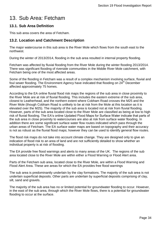## <span id="page-33-0"></span>13. Sub Area: Fetcham

### <span id="page-33-1"></span>**13.1. Sub Area Definition**

This sub area covers the area of Fetcham.

## <span id="page-33-2"></span>**13.2. Location and Catchment Description**

The major watercourse in this sub area is the River Mole which flows from the south east to the northwest.

During the winter of 2013/2014, flooding in the sub area resulted in internal property flooding.

Fetcham was affected by fluvial flooding from the River Mole during the winter flooding 2013/2014. There was significant flooding of riverside communities in the Middle River Mole catchment, with Fetcham being one of the most affected areas.

Some of the flooding in Fetcham was a result of a complex mechanism involving surface, fluvial and foul sewer flooding. The Environment Agency have indicated that flooding on 24<sup>th</sup> December affected approximately 75 homes.

According to the EA online fluvial flood risk maps the regions of the sub area in close proximity to the River Mole are at risk of fluvial flooding. This includes the eastern extreme of the sub area, closest to Leatherhead, and the northern extent where Cobham Road crosses the M25 and the River Mole (though Cobham Road is unlikely to be at risk from the Mole at this location as it is elevated over the M25). The majority of the sub area is located not at risk from fluvial flooding. However, parts of the sub area located close to the River Mole are classified as being at low to high risk of fluvial flooding. The EA's online Updated Flood Maps for Surface Water indicate that parts of the sub area in close proximity to watercourses are also at risk from surface water flooding. In addition there are some significant surface water flow routes indicated which pass through the urban areas of Fetcham. The EA surface water maps are based on topography and their accuracy is not as robust as the fluvial flood maps; however they can be used to identify general flow routes.

The flood risk maps do not take into account climate change. They are designed only to give an indication of flood risk to an area of land and are not sufficiently detailed to show whether an individual property is at risk of flooding.

The EA provide free flood warnings and alerts to many areas of the UK. The regions of the sub area located close to the River Mole are within either a Flood Warning or Flood Alert area.

Parts of the Fetcham sub area, located close to the River Mole, are within a Flood Warning and Flood Alert Area. These are areas for which the EA provides free flood warnings

The sub area is predominantly underlain by the clay formations. The majority of the sub area is not underlain superficial deposits. Other parts are underlain by superficial deposits comprising of clay, silt, sand and gravels.

The majority of the sub area has no or limited potential for groundwater flooding to occur. However, in the east of the sub area, through which the River Mole flows, there is a potential for groundwater flooding to occur at the surface.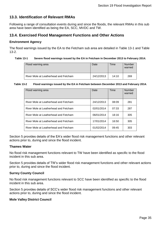## <span id="page-34-0"></span>**13.3. Identification of Relevant RMAs**

Following a range of consultation events during and since the floods, the relevant RMAs in this sub area have been identified as being the EA, SCC, MVDC and TW.

### <span id="page-34-1"></span>**13.4. Exercised Flood Management Functions and Other Actions**

#### **Environment Agency**

The flood warnings issued by the EA to the Fetcham sub area are detailed in [Table 13-1](#page-34-2) and [Table](#page-34-3)  [13-2.](#page-34-3)

#### <span id="page-34-2"></span>**Table 13-1 Severe flood warnings issued by the EA in Fetcham in December 2013 to February 2014.**

| Flood warning area                    | Date       | Time  | <b>Number</b><br>warned |
|---------------------------------------|------------|-------|-------------------------|
| River Mole at Leatherhead and Fetcham | 24/12/2013 | 14:10 | 269                     |

#### <span id="page-34-3"></span>**Table 13-2 Flood warnings issued by the EA in Fetcham between December 2013 and February 2014.**

| Flood warning area                    | Date       | Time  | <b>Number</b><br>warned |
|---------------------------------------|------------|-------|-------------------------|
| River Mole at Leatherhead and Fetcham | 24/12/2013 | 08:09 | 281                     |
| River Mole at Leatherhead and Fetcham | 02/01/2014 | 07:33 | 287                     |
| River Mole at Leatherhead and Fetcham | 06/01/2014 | 18:16 | 305                     |
| River Mole at Leatherhead and Fetcham | 17/01/2014 | 16:50 | 305                     |
| River Mole at Leatherhead and Fetcham | 01/02/2014 | 09:45 | 303                     |

Section [5](#page-16-0) provides details of the EA's wider flood risk management functions and other relevant actions prior to, during and since the flood incident.

#### **Thames Water**

No flood risk management functions relevant to TW have been identified as specific to the flood incident in this sub area.

Section [5](#page-16-0) provides details of TW's wider flood risk management functions and other relevant actions prior to, during and since the flood incident.

#### **Surrey County Council**

No flood risk management functions relevant to SCC have been identified as specific to the flood incident in this sub area.

Section [5](#page-16-0) provides details of SCC's wider flood risk management functions and other relevant actions prior to, during and since the flood incident.

#### **Mole Valley District Council**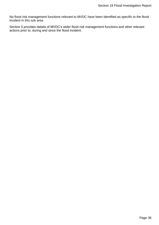No flood risk management functions relevant to MVDC have been identified as specific to the flood incident in this sub area.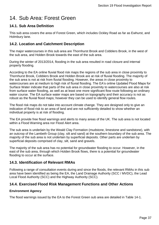## <span id="page-36-0"></span>14. Sub Area: Forest Green

## <span id="page-36-1"></span>**14.1. Sub Area Definition**

This sub area covers the area of Forest Green, which includes Ockley Road as far as Ewhurst, and Holmbury lane.

## <span id="page-36-2"></span>**14.2. Location and Catchment Description**

The major watercourses in this sub area are Thornhurst Brook and Cobblers Brook, in the west of the sub area, and Holden Brook towards the east of the sub area.

During the winter of 2013/2014, flooding in the sub area resulted in road closure and internal property flooding.

According to the EA online fluvial flood risk maps the regions of the sub area in close proximity to Thornhurst Brook, Cobblers Brook and Holden Brook are at risk of fluvial flooding. The majority of the sub area is not at risk from fluvial flooding. However, the areas in close proximity to watercourses are at medium to high risk of fluvial flooding. The EA's online Updated Flood Maps for Surface Water indicate that parts of the sub area in close proximity to watercourses are also at risk from surface water flooding, as well as at least one more significant flow route following an ordinary water course. The EA surface water maps are based on topography and their accuracy is not as robust as the fluvial flood maps; however they can be used to identify general flow routes.

The flood risk maps do not take into account climate change. They are designed only to give an indication of flood risk to an area of land and are not sufficiently detailed to show whether an individual property is at risk of flooding.

The EA provide free flood warnings and alerts to many areas of the UK. The sub area is not located within a Flood Warning area nor Flood Alert area.

The sub area is underlain by the Weald Clay Formation (mudstone, limestone and sandstone), with an outcrop of the Lambeth Group (clay, silt and sand) at the southern boundary of the sub area. The majority of the sub area is not underlain by superficial deposits. Other parts are underlain by superficial deposits comprised of clay, silt, sand and gravels.

The majority of the sub area has no potential for groundwater flooding to occur. However, in the east of the sub area, through which Holden Brook flows, there is a potential for groundwater flooding to occur at the surface.

### <span id="page-36-3"></span>**14.3. Identification of Relevant RMAs**

Following a range of consultation events during and since the floods, the relevant RMAs in this sub area have been identified as being the EA, the Land Drainage Authority (SCC / MVDC), the Lead Local Flood Authority (SCC) and the Highway Authority (SCC).

### <span id="page-36-4"></span>**14.4. Exercised Flood Risk Management Functions and Other Actions**

#### **Environment Agency**

The flood warnings issued by the EA to the Forest Green sub area are detailed in [Table 14-1.](#page-37-0)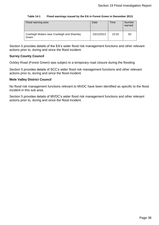#### **Table 14-1 Flood warnings issued by the EA in Forest Green in December 2013.**

<span id="page-37-0"></span>

| Flood warning area                                   | Date       | Time  | <b>Number</b><br>warned |
|------------------------------------------------------|------------|-------|-------------------------|
| Cranleigh Waters near Cranleigh and Shamley<br>Green | 23/12/2013 | 22:03 | 63                      |

Section [5](#page-16-0) provides details of the EA's wider flood risk management functions and other relevant actions prior to, during and since the flood incident.

#### **Surrey County Council**

Ockley Road (Forest Green) was subject to a temporary road closure during the flooding.

Section [5](#page-16-0) provides details of SCC's wider flood risk management functions and other relevant actions prior to, during and since the flood incident.

#### **Mole Valley District Council**

No flood risk management functions relevant to MVDC have been identified as specific to the flood incident in this sub area.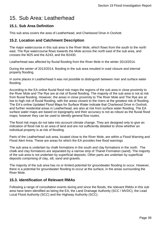## <span id="page-38-0"></span>15. Sub Area: Leatherhead

## <span id="page-38-1"></span>**15.1. Sub Area Definition**

This sub area covers the area of Leatherhead, and Charlwood Drive in Oxshott.

### <span id="page-38-2"></span>**15.2. Location and Catchment Description**

The major watercourse in this sub area is the River Mole, which flows from the south to the north east. The Rye watercourse flows towards the Mole across the north east of the sub area, and crosses the M25 and the A243, and the B2430.

Leatherhead was affected by fluvial flooding from the River Mole in the winter 2013/2014.

During the winter of 2013/2014, flooding in the sub area resulted in road closure and internal property flooding.

In some places in Leatherhead it was not possible to distinguish between river and surface water flooding.

According to the EA online fluvial flood risk maps the regions of the sub area in close proximity to the River Mole and The Rye are at risk of fluvial flooding. The majority of the sub area is not at risk from fluvial flooding. However, the areas in close proximity to The River Mole and The Rye are at low to high risk of fluvial flooding, with the areas closest to the rivers at the greatest risk of flooding. The EA's online Updated Flood Maps for Surface Water indicate that Charlwood Drive in Oxshott, and further residential areas in Leatherhead, are also at risk from surface water flooding. The EA surface water maps are based on topography and their accuracy is not as robust as the fluvial flood maps; however they can be used to identify general flow routes.

The flood risk maps do not take into account climate change. They are designed only to give an indication of flood risk to an area of land and are not sufficiently detailed to show whether an individual property is at risk of flooding.

Parts of the Leatherhead sub area, located close to the River Mole, are within a Flood Warning and Flood Alert Area. These are areas for which the EA provides free flood warnings

The sub area is underlain by chalk formations in the south and clay formations in the north. The chalk and clay formations are separated by a narrow strip of Thanet Formation (sand). The majority of the sub area is not underlain by superficial deposits. Other parts are underlain by superficial deposits comprising of clay, silt, sand and gravels.

The majority of the sub area has no or limited potential for groundwater flooding to occur. However, there is a potential for groundwater flooding to occur at the surface, in the areas surrounding the River Mole.

### <span id="page-38-3"></span>**15.3. Identification of Relevant RMAs**

Following a range of consultation events during and since the floods, the relevant RMAs in this sub area have been identified as being the EA, the Land Drainage Authority (SCC / MVDC), the Lead Local Flood Authority (SCC) and the Highway Authority (SCC).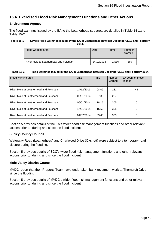## <span id="page-39-0"></span>**15.4. Exercised Flood Risk Management Functions and Other Actions**

#### **Environment Agency**

The flood warnings issued by the EA to the Leatherhead sub area are detailed in Table 14-1and [Table 15-2](#page-39-1)

#### **Table 15-1 Severe flood warnings issued by the EA in Leatherhead between December 2013 and February 2014.**

| Flood warning area                    | Date       | Time  | Number<br>warned |
|---------------------------------------|------------|-------|------------------|
| River Mole at Leatherhead and Fetcham | 24/12/2013 | 14:10 | 269              |

#### <span id="page-39-1"></span>**Table 15-2 Flood warnings issued by the EA in Leatherhead between December 2013 and February 2014.**

| Flood warning area                    | Date       | <b>Time</b> | <b>Number</b><br>warned | EA count of those<br>flooded |
|---------------------------------------|------------|-------------|-------------------------|------------------------------|
| River Mole at Leatherhead and Fetcham | 24/12/2013 | 08:09       | 281                     | 41                           |
| River Mole at Leatherhead and Fetcham | 02/01/2014 | 07:33       | 287                     | 0                            |
| River Mole at Leatherhead and Fetcham | 06/01/2014 | 18:16       | 305                     | 0                            |
| River Mole at Leatherhead and Fetcham | 17/01/2014 | 16:50       | 305                     | 0                            |
| River Mole at Leatherhead and Fetcham | 01/02/2014 | 09:45       | 303                     | 0                            |

Section [5](#page-16-0) provides details of the EA's wider flood risk management functions and other relevant actions prior to, during and since the flood incident.

#### **Surrey County Council**

Waterway Road (Leatherhead) and Charlwood Drive (Oxshott) were subject to a temporary road closure during the flooding.

Section [5](#page-16-0) provides details of SCC's wider flood risk management functions and other relevant actions prior to, during and since the flood incident.

#### **Mole Valley District Council**

MVDC report that their Property Team have undertaken bank revetment work at Thorncroft Drive since the flooding.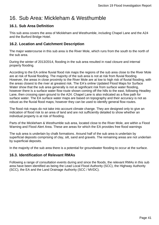## <span id="page-40-0"></span>16. Sub Area: Mickleham & Westhumble

## <span id="page-40-1"></span>**16.1. Sub Area Definition**

This sub area covers the area of Mickleham and Westhumble, including Chapel Lane and the A24 and the Burford Bridge Hotel.

## <span id="page-40-2"></span>**16.2. Location and Catchment Description**

The major watercourse in this sub area is the River Mole, which runs from the south to the north of the sub area.

During the winter of 2013/2014, flooding in the sub area resulted in road closure and internal property flooding.

According to the EA online fluvial flood risk maps the regions of the sub area close to the River Mole are at risk of fluvial flooding. The majority of the sub area is not at risk from fluvial flooding. However, the areas in close proximity to the River Mole are at low to high risk of fluvial flooding, with the areas closest to the river at greatest risk. The EA's online Updated Flood Maps for Surface Water show that the sub area generally is not at significant risk from surface water flooding, however there is a surface water flow route shown coming off the hills to the east, following Headley Lane, then crossing open ground to the A24. Chapel Lane is also indicated as a flow path for surface water. The EA surface water maps are based on topography and their accuracy is not as robust as the fluvial flood maps; however they can be used to identify general flow routes.

The flood risk maps do not take into account climate change. They are designed only to give an indication of flood risk to an area of land and are not sufficiently detailed to show whether an individual property is at risk of flooding.

Parts of the Mickleham & Westhumble sub area, located close to the River Mole, are within a Flood Warning and Flood Alert Area. These are areas for which the EA provides free flood warnings

The sub area is underlain by chalk formations. Around half of the sub area is underlain by superficial deposits comprising of clay, silt, sand and gravels. The remaining areas are not underlain by superficial deposits.

In the majority of the sub area there is a potential for groundwater flooding to occur at the surface.

### <span id="page-40-3"></span>**16.3. Identification of Relevant RMAs**

Following a range of consultation events during and since the floods, the relevant RMAs in this sub area have been identified as being the Lead Local Flood Authority (SCC), the Highway Authority (SCC), the EA and the Land Drainage Authority (SCC / MVDC).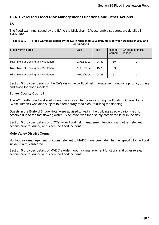## <span id="page-41-0"></span>**16.4. Exercised Flood Risk Management Functions and Other Actions**

#### **EA**

The flood warnings issued by the EA to the Mickleham & Westhumble sub area are detailed in [Table 16-1.](#page-41-1)

#### <span id="page-41-1"></span>**Table 16-1 Flood warnings issued by the EA in Mickleham & Westhumble between December 2013 and February2014**

| Flood warning area                  | Date       | Time  | Number<br>warned | EA count of those<br>flooded |
|-------------------------------------|------------|-------|------------------|------------------------------|
| River Mole at Dorking and Mickleham | 24/12/2013 | 04:47 | 59               | 9                            |
| River Mole at Dorking and Mickleham | 17/01/2014 | 15:25 | 59               |                              |
| River Mole at Dorking and Mickleham | 01/02/2014 | 08:23 | 61               |                              |

Section [5](#page-16-0) provides details of the EA's district-wide flood risk management functions prior to, during and since the flood incident.

#### **Surrey County Council**

The A24 northbound and southbound was closed temporarily during the flooding. Chapel Lane (West Humble) was also subject to a temporary road closure during the flooding.

Guests in the Burford Bridge Hotel were advised to wait in the building as evacuation was not possible due to the fast flowing water. Evacuation was then safely completed later in the day.

Section [5](#page-16-0) provides details of SCC's wider flood risk management functions and other relevant actions prior to, during and since the flood incident.

#### **Mole Valley District Council**

No flood risk management functions relevant to MVDC have been identified as specific to the flood incident in this sub area.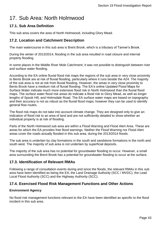## <span id="page-42-0"></span>17. Sub Area: North Holmwood

## <span id="page-42-1"></span>**17.1. Sub Area Definition**

This sub area covers the area of North Holmwood, including Glory Mead.

## <span id="page-42-2"></span>**17.2. Location and Catchment Description**

The main watercourse in this sub area is Brent Brook, which is a tributary of Tanner's Brook.

During the winter of 2013/2014, flooding in the sub area resulted in road closure and internal property flooding.

In some places in the Middle River Mole Catchment, it was not possible to distinguish between river and surface water flooding.

According to the EA online fluvial flood risk maps the regions of the sub area in very close proximity to Bents Brook are at risk of fluvial flooding, particularly where it runs beside the A24. The majority of the sub area is not at risk from fluvial flooding. However, the areas in very close proximity to Bents Brook have a medium risk of fluvial flooding. The EA's online Updated Flood Maps for Surface Water indicate much more extensive flood risk in North Holmwood than the fluvial flood maps. The surface water flood risk areas do indicate a flood risk to Glory Mead, as well as longer lengths of Spook Hill, and Holmsdale Road. The EA surface water maps are based on topography and their accuracy is not as robust as the fluvial flood maps; however they can be used to identify general flow routes.

The flood risk maps do not take into account climate change. They are designed only to give an indication of flood risk to an area of land and are not sufficiently detailed to show whether an individual property is at risk of flooding.

Parts of the North Holmwood sub area are within a Flood Warning and Flood Alert Area. These are areas for which the EA provides free flood warnings. Neither the Flood Warning nor Flood Alert areas cover the roads actually flooded in this sub area, during the 2013/2014 floods.

The sub area is underlain by clay formations in the south and sandstone formations in the north and south west. The majority of sub area is not underlain by superficial deposits.

The majority of the sub area has no potential for groundwater flooding to occur. However, a small area surrounding the Brent Brook has a potential for groundwater flooding to occur at the surface.

### <span id="page-42-3"></span>**17.3. Identification of Relevant RMAs**

Following a range of consultation events during and since the floods, the relevant RMAs in this sub area have been identified as being the EA, the Land Drainage Authority (SCC / MVDC), the Lead Local Flood Authority (SCC) and the Highway Authority (SCC).

### <span id="page-42-4"></span>**17.4. Exercised Flood Risk Management Functions and Other Actions**

#### **Environment Agency**

No flood risk management functions relevant to the EA have been identified as specific to the flood incident in this sub area.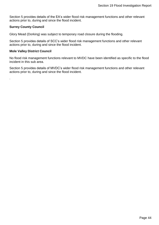Section [5](#page-16-0) provides details of the EA's wider flood risk management functions and other relevant actions prior to, during and since the flood incident.

#### **Surrey County Council**

Glory Mead (Dorking) was subject to temporary road closure during the flooding.

Section [5](#page-16-0) provides details of SCC's wider flood risk management functions and other relevant actions prior to, during and since the flood incident.

#### **Mole Valley District Council**

.

No flood risk management functions relevant to MVDC have been identified as specific to the flood incident in this sub area.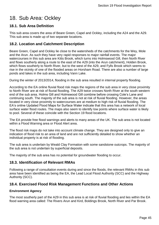## <span id="page-44-0"></span>18. Sub Area: Ockley

## <span id="page-44-1"></span>**18.1. Sub Area Definition**

This sub area covers the area of Beare Green, Capel and Ockley, including the A24 and the A29. This sub area is made up of two separate locations.

## <span id="page-44-2"></span>**18.2. Location and Catchment Description**

Beare Green, Capel and Ockley lie close to the watersheds of the catchments for the Wey, Mole and the Arun. As such they have very rapid responses to major rainfall events. The major watercourses in this sub area are Kitts Brook, which turns into Holmswood Gill, then North River and flows southerly along a route to the east of the A29 (into the Arun catchment), Holden Brook, which flows southerly to North River, but to the west of the A29, and Fylls Brook which seems to rise in the vicinity of one of the flooded areas on Horsham Road. There are also a number of large ponds and lakes in the sub area, including Vann Lake.

During the winter of 2013/2014, flooding in the sub area resulted in internal property flooding.

According to the EA online fluvial flood risk maps the regions of the sub area in very close proximity to North River are at risk of fluvial flooding. The A29 twice crosses North River at the south western end of the sub area. Holms Gill and Holmswood Gill combine before crossing Cole's Lane and continuing south. The majority of the sub area is not at risk of fluvial flooding. However, the areas located in very close proximity to watercourses are at medium to high risk of fluvial flooding. The EA's online Updated Flood Maps for Surface Water indicate that this area has a network of local surface water flood routes. The maps also seem to identify low points where surface water is likely to pool. Several of these coincide with the Section 19 flood locations.

The EA provide free flood warnings and alerts to many areas of the UK. The sub area is not located within a Flood Warning area or Flood Alert area.

The flood risk maps do not take into account climate change. They are designed only to give an indication of flood risk to an area of land and are not sufficiently detailed to show whether an individual property is at risk of flooding.

The sub area is underlain by Weald Clay Formation with some sandstone outcrops. The majority of the sub area is not underlain by superficial deposits.

The majority of the sub area has no potential for groundwater flooding to occur.

### <span id="page-44-3"></span>**18.3. Identification of Relevant RMAs**

Following a range of consultation events during and since the floods, the relevant RMAs in this sub area have been identified as being the EA, the Lead Local Flood Authority (SCC) and the Highway Authority (SCC).

#### <span id="page-44-4"></span>**18.4. Exercised Flood Risk Management Functions and Other Actions**

#### **Environment Agency**

The most southerly part of the A29 in this sub area is at risk of fluvial flooding and lies within the EA flood warning area called: The Rivers Arun and Kird, Boldings Brook, North River and Par Brook.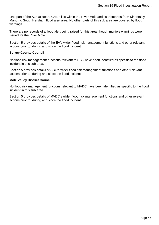One part of the A24 at Beare Green lies within the River Mole and its tributaries from Kinnersley Manor to South Hersham flood alert area. No other parts of this sub area are covered by flood warnings.

There are no records of a flood alert being raised for this area, though multiple warnings were issued for the River Mole.

Section [5](#page-16-0) provides details of the EA's wider flood risk management functions and other relevant actions prior to, during and since the flood incident.

#### **Surrey County Council**

No flood risk management functions relevant to SCC have been identified as specific to the flood incident in this sub area.

Section [5](#page-16-0) provides details of SCC's wider flood risk management functions and other relevant actions prior to, during and since the flood incident.

#### **Mole Valley District Council**

No flood risk management functions relevant to MVDC have been identified as specific to the flood incident in this sub area.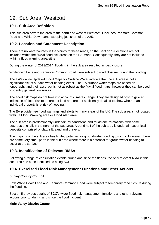## <span id="page-46-0"></span>19. Sub Area: Westcott

## <span id="page-46-1"></span>**19.1. Sub Area Definition**

This sub area covers the area to the north and west of Westcott, it includes Ranmore Common Road and White Down Lane, stopping just short of the A25.

## <span id="page-46-2"></span>**19.2. Location and Catchment Description**

There are no watercourses in the vicinity to these roads, so the Section 19 locations are not included within the fluvial flood risk areas on the EA maps. Consequently, they are not included within a flood warning area either.

During the winter of 2013/2014, flooding in the sub area resulted in road closure.

Whitedown Lane and Ranmore Common Road were subject to road closures during the flooding.

The EA's online Updated Flood Maps for Surface Water indicate that the sub area is not at significant risk of surface water flooding either. The EA surface water maps are based on topography and their accuracy is not as robust as the fluvial flood maps; however they can be used to identify general flow routes.

The flood risk maps do not take into account climate change. They are designed only to give an indication of flood risk to an area of land and are not sufficiently detailed to show whether an individual property is at risk of flooding.

The EA provide free flood warnings and alerts to many areas of the UK. The sub area is not located within a Flood Warning area or Flood Alert area.

The sub area is predominantly underlain by sandstone and mudstone formations, with some outcrops of chalk in the north of the sub area. Around half of the sub area is underlain superficial deposits comprised of clay, silt, sand and gravels.

The majority of the sub area has limited potential for groundwater flooding to occur. However, there are some very small parts in the sub area where there is a potential for groundwater flooding to occur at the surface.

### <span id="page-46-3"></span>**19.3. Identification of Relevant RMAs**

Following a range of consultation events during and since the floods, the only relevant RMA in this sub area has been identified as being SCC.

### <span id="page-46-4"></span>**19.4. Exercised Flood Risk Management Functions and Other Actions**

#### **Surrey County Council**

Both White Down Lane and Ranmore Common Road were subject to temporary road closure during the flooding.

Section [5](#page-16-0) provides details of SCC's wider flood risk management functions and other relevant actions prior to, during and since the flood incident.

#### **Mole Valley District Council**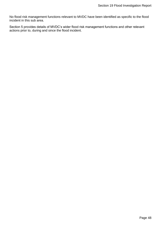No flood risk management functions relevant to MVDC have been identified as specific to the flood incident in this sub area.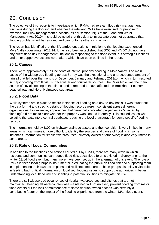## <span id="page-48-0"></span>20. Conclusion

The objective of this report is to investigate which RMAs had relevant flood risk management functions during the flooding and whether the relevant RMAs have exercised, or propose to exercise, their risk management functions (as per section 19(1) of the Flood and Water Management Act 2010). It should be noted that this duty to investigate does not guarantee that flooding problems will be resolved and cannot force others into action.

The report has identified that the EA carried out actions in relation to the flooding experienced in Mole Valley over winter 2013/14. It has also been established that SCC and MVDC did not have any direct flood risk management functions in responding to the flood event, but strategic functions and other supportive actions were taken, which have been outlined in the report.

## <span id="page-48-1"></span>**20.1. Causes**

There were approximately 270 incidents of internal property flooding in Mole Valley. The main cause of the widespread flooding across Surrey was the exceptional and unprecedented amount of rainfall that fell over the months of December, January and February 2013/14, which in turn resulted in major flooding from fluvial, surface water and foul water sources. The River Mole was the main source of fluvial flooding in the district and is reported to have affected the Brockham, Fetcham, Leatherhead and North Holmwood sub areas

## <span id="page-48-2"></span>**20.2. Flood Data**

While systems are in place to record instances of flooding on a day-to-day basis, it was found that the data format and specific details of flooding records were inconsistent across different organisations. For example, approaches that generically recorded properties as "affected by flooding" did not make clear whether the property was flooded internally. This caused issues when collating the data into a central database, reducing the level of accuracy for some specific flooding records.

The information held by SCC on highway drainage assets and their condition is very limited in many areas, which can make it more difficult to identify the sources and cause of flooding in some instances. Information for smaller watercourses (privately owned or otherwise) is also very limited in some areas.

## <span id="page-48-3"></span>**20.3. Role of Local Communities**

In addition to the functions and actions carried out by RMAs, there are many ways in which residents and communities can reduce flood risk. Local flood forums existed in Surrey prior to the winter 13/14 flood event but many more have been set up in the aftermath of this event. The role of RMAs in these local groups is instrumental in educating the public on flood risk and supporting them in implementing their own action plans and resilience measures. These groups also play a vital role in feeding back critical information on localised flooding issues to support the authorities in better understanding local flood risk and identifying potential solutions to mitigate this risk.

There are still widespread occurrences of riparian watercourses and ditches that are not maintained. Keeping all watercourses well maintained will not (in itself) prevent flooding from major flood events but the lack of maintenance of some riparian owned ditches was certainly a contributing factor on the impact of the flooding experienced from the winter 13/14 flood event.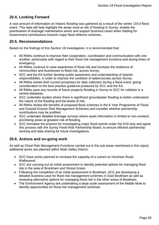## <span id="page-49-0"></span>**20.4. Looking Forward**

A vast amount of information on historic flooding was gathered as a result of the winter 13/14 flood event. This data will help highlight the areas most at risk of flooding in Surrey, enable the prioritisation of drainage maintenance works and support business cases when bidding for Government contributions towards major flood defence schemes.

#### <span id="page-49-1"></span>**20.5. Recommendations**

Based on the findings of this Section 19 investigation, it is recommended that:

- All RMAs continue to improve their cooperation, coordination and communication with one another, particularly with regard to their flood risk management functions and during times of emergency.
- All RMAs continue to raise awareness of flood risk and increase the resilience of communities and businesses to flood risk, across Surrey.
- SCC and the EA further develop public awareness and understanding of riparian responsibilities, in order to improve the condition of watercourses across Surrey.
- All RMAs review their current processes for data collection during a flood event, giving consideration to the best practice guidance produced by SCC and the EA.
- All RMAs pass any records of future property flooding in Surrey to SCC for collation in a central database.
- SCC undertake studies where there is significant groundwater flooding to better understand the nature of the flooding and the levels of risk.
- All RMAs review the benefits of proposed flood schemes in the 6 Year Programme of Flood and Coastal Erosion Risk Management Schemes and consider whether partnership contributions may be justified.
- SCC undertake detailed drainage surveys where asset information is limited or non-existent, prioritising areas at greatest risk of flooding.
- SCC formalise the process for investigating major flood events under the S19 duty and agree this process with the Surrey Flood Risk Partnership Board, to ensure efficient partnership working and data sharing for future investigations.

### <span id="page-49-2"></span>**20.6. Actions and on-going work**

As well as Flood Risk Management Functions carried out in the sub areas mentioned in this report, additional works are planned within Mole Valley District:

- SCC have works planned to increase the capacity of a culvert on Horsham Road, Walliswood.
- SCC are carrying out an initial assessment to identify potential options for managing flood risk in the area of Brockham and Strood Green.
- Following the completion of an initial assessment in Bookham, SCC are developing a detailed business case for flood risk management schemes in East Bookham as well as reviewing alternative options for managing flood risk in the other areas of Bookham.
- The Environment Agency are undertaking a large scale assessment of the Middle Mole to identify opportunities for flood risk management schemes.